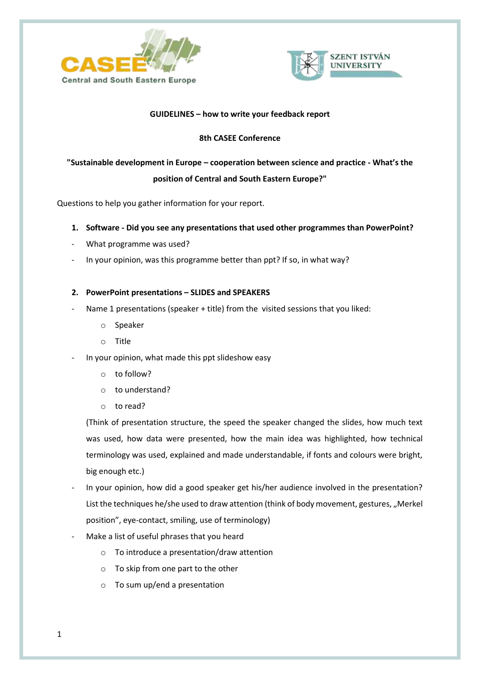



# **GUIDELINES – how to write your feedback report**

# **8th CASEE Conference**

# **"Sustainable development in Europe – cooperation between science and practice - What's the position of Central and South Eastern Europe?"**

Questions to help you gather information for your report.

- **1. Software - Did you see any presentations that used other programmes than PowerPoint?**
- What programme was used?
- In your opinion, was this programme better than ppt? If so, in what way?

### **2. PowerPoint presentations – SLIDES and SPEAKERS**

- Name 1 presentations (speaker + title) from the visited sessions that you liked:
	- o Speaker
	- o Title
- In your opinion, what made this ppt slideshow easy
	- o to follow?
	- o to understand?
	- o to read?

(Think of presentation structure, the speed the speaker changed the slides, how much text was used, how data were presented, how the main idea was highlighted, how technical terminology was used, explained and made understandable, if fonts and colours were bright, big enough etc.)

- In your opinion, how did a good speaker get his/her audience involved in the presentation? List the techniques he/she used to draw attention (think of body movement, gestures, "Merkel position", eye-contact, smiling, use of terminology)
- Make a list of useful phrases that you heard
	- o To introduce a presentation/draw attention
	- o To skip from one part to the other
	- o To sum up/end a presentation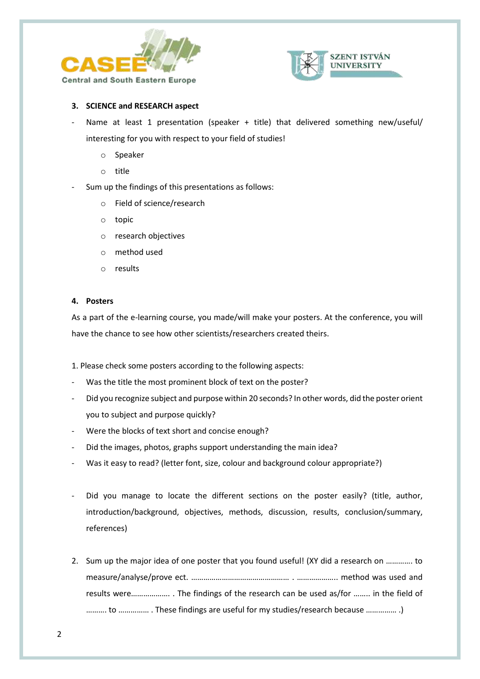



### **3. SCIENCE and RESEARCH aspect**

- Name at least 1 presentation (speaker + title) that delivered something new/useful/ interesting for you with respect to your field of studies!
	- o Speaker
	- o title
- Sum up the findings of this presentations as follows:
	- o Field of science/research
	- o topic
	- o research objectives
	- o method used
	- o results

#### **4. Posters**

As a part of the e-learning course, you made/will make your posters. At the conference, you will have the chance to see how other scientists/researchers created theirs.

- 1. Please check some posters according to the following aspects:
- Was the title the most prominent block of text on the poster?
- Did you recognize subject and purpose within 20 seconds? In other words, did the poster orient you to subject and purpose quickly?
- Were the blocks of text short and concise enough?
- Did the images, photos, graphs support understanding the main idea?
- Was it easy to read? (letter font, size, colour and background colour appropriate?)
- Did you manage to locate the different sections on the poster easily? (title, author, introduction/background, objectives, methods, discussion, results, conclusion/summary, references)
- 2. Sum up the major idea of one poster that you found useful! (XY did a research on …………. to measure/analyse/prove ect. ………………………………………… . ……………….. method was used and results were………………. . The findings of the research can be used as/for …….. in the field of ………. to …………… . These findings are useful for my studies/research because …………… .)